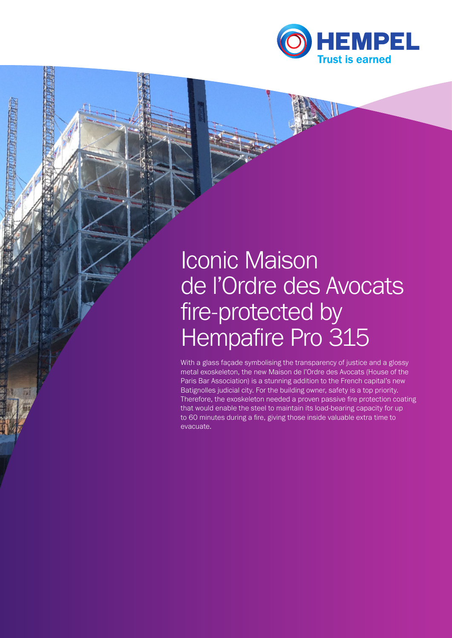

# Iconic Maison de l'Ordre des Avocats fire-protected by Hempafire Pro 315

*CARTARY ARTS* 

With a glass façade symbolising the transparency of justice and a glossy metal exoskeleton, the new Maison de l'Ordre des Avocats (House of the Paris Bar Association) is a stunning addition to the French capital's new Batignolles judicial city. For the building owner, safety is a top priority. Therefore, the exoskeleton needed a proven passive fire protection coating that would enable the steel to maintain its load-bearing capacity for up to 60 minutes during a fire, giving those inside valuable extra time to evacuate.